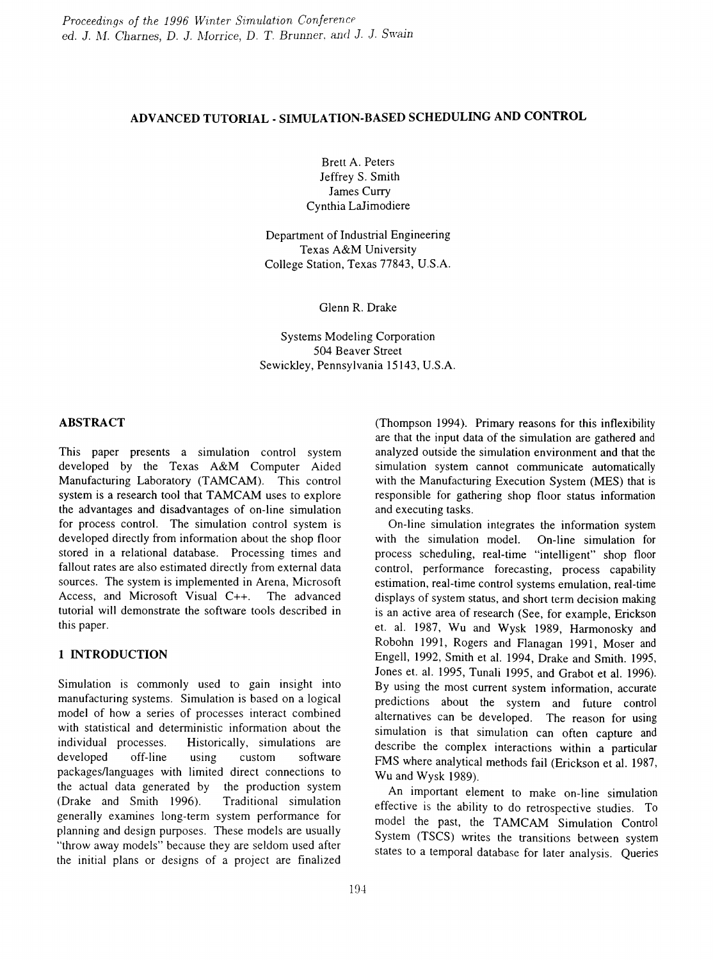# ADVANCED TUTORIAL - SIMULATION-BASED SCHEDULING AND CONTROL

Brett A. Peters Jeffrey S. Smith James Curry Cynthia LaJimodiere

Department of Industrial Engineering Texas A&M University College Station, Texas 77843, U.S.A.

Glenn R. Drake

Systems Modeling Corporation 504 Beaver Street Sewickley, Pennsylvania 15143, U.S.A.

## ABSTRACT

This paper presents a simulation control system developed by the Texas A&M Computer Aided Manufacturing Laboratory (TAMCAM). This control system is a research tool that TAMCAM uses to explore the advantages and disadvantages of on-line simulation for process control. The simulation control system is developed directly from information about the shop floor stored in a relational database. Processing times and fallout rates are also estimated directly from external data sources. The system is implemented in Arena, Microsoft Access, and Microsoft Visual C++. The advanced tutorial will demonstrate the software tools described in this paper.

# 1 INTRODUCTION

Simulation is commonly used to gain insight into manufacturing systems. Simulation is based on a logical model of how a series of processes interact combined with statistical and deterministic information about the individual processes. Historically, simulations are developed off-line using custom software packagesllanguages with limited direct connections to the actual data generated by the production system (Drake and Smith 1996). Traditional simulation generally examines long-term system performance for planning and design purposes. These models are usually "throw away models" because they are seldom used after the initial plans or designs of a project are finalized

(Thompson 1994). Primary reasons for this inflexibility are that the input data of the simulation are gathered and analyzed outside the simulation environment and that the simulation system cannot communicate automatically with the Manufacturing Execution System (MES) that is responsible for gathering shop floor status information and executing tasks.

On-line simulation integrates the information system with the simulation model. On-line simulation for process scheduling, real-time "intelligent" shop floor control, performance forecasting, process capability estimation, real-time control systems emulation, real-time displays of system status, and short term decision making is an active area of research (See, for example, Erickson et. a1. 1987, Wu and Wysk 1989, Harmonosky and Robohn 1991, Rogers and Flanagan 1991, Moser and Engell, 1992, Smith et a1. 1994, Drake and Smith. 1995, Jones et. a1. 1995, Tunali 1995, and Grabot et a1. 1996). By using the most current system information, accurate predictions about the system and future control alternatives can be developed. The reason for using simulation is that simulation can often capture and describe the complex interactions within a particular FMS where analytical methods fail (Erickson et al. 1987, Wu and Wysk 1989).

An important element to make on-line simulation effective is the ability to do retrospective studies. To model the past, the TAMCAM Simulation Control System (TSCS) writes the transitions between system states to a temporal database for later analysis. Queries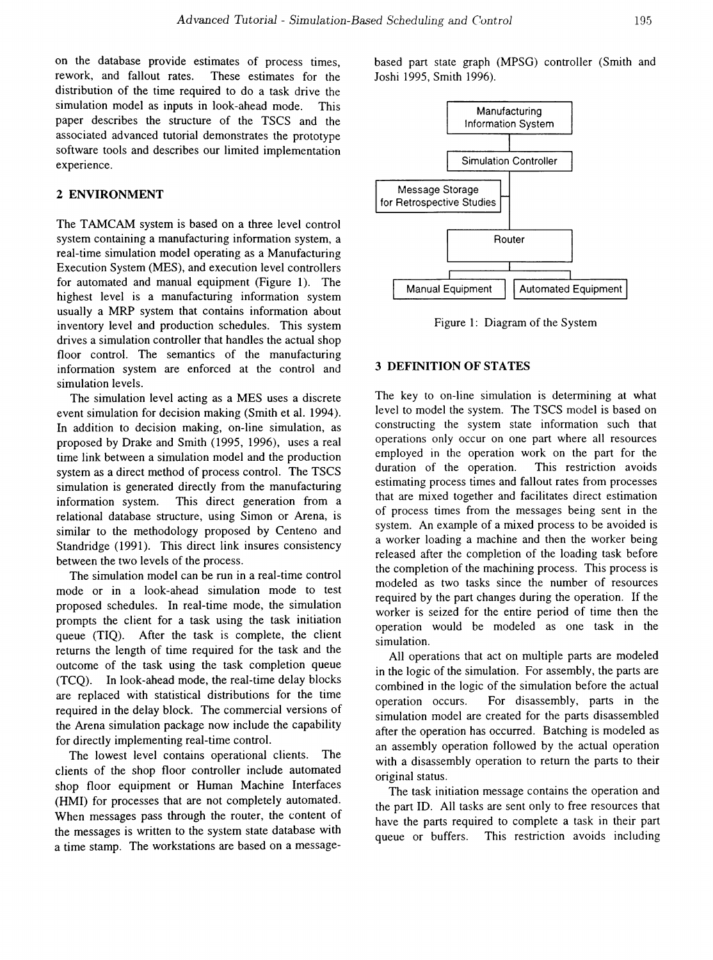on the database provide estimates of process times, rework, and fallout rates. These estimates for the distribution of the time required to do a task drive the simulation model as inputs in look-ahead mode. This paper describes the structure of the TSCS and the associated advanced tutorial demonstrates the prototype software tools and describes our limited implementation experience.

### 2 ENVIRONMENT

The TAMCAM system is based on a three level control system containing a manufacturing information system, a real-time simulation model operating as a Manufacturing Execution System (MES), and execution level controllers for automated and manual equipment (Figure 1). The highest level is a manufacturing information system usually a MRP system that contains information about inventory level and production schedules. This system drives a simulation controller that handles the actual shop floor control. The semantics of the manufacturing information system are enforced at the control and simulation levels.

The simulation level acting as a MES uses a discrete event simulation for decision making (Smith et a1. 1994). In addition to decision making, on-line simulation, as proposed by Drake and Smith (1995, 1996), uses a real time link between a simulation model and the production system as a direct method of process control. The TSCS simulation is generated directly from the manufacturing information system. This direct generation from a relational database structure, using Simon or Arena, is similar to the methodology proposed by Centeno and Standridge (1991). This direct link insures consistency between the two levels of the process.

The simulation model can be run in a real-time control mode or in a look-ahead simulation mode to test proposed schedules. In real-time mode, the simulation prompts the client for a task using the task initiation queue (TIQ). After the task is complete, the client returns the length of time required for the task and the outcome of the task using the task completion queue (TCQ). In look-ahead mode, the real-time delay blocks are replaced with statistical distributions for the time required in the delay block. The commercial versions of the Arena simulation package now include the capability for directly implementing real-time control.

The lowest level contains operational clients. The clients of the shop floor controller include automated shop floor equipment or Human Machine Interfaces (HMI) for processes that are not completely automated. When messages pass through the router, the content of the messages is written to the system state database with a time stamp. The workstations are based on a messagebased part state graph (MPSG) controller (Smith and Joshi 1995, Smith 1996).



Figure 1: Diagram of the System

### 3 DEFINITION OF STATES

The key to on-line simulation is determining at what level to model the system. The TSCS model is based on constructing the system state information such that operations only occur on one part where all resources employed in the operation work on the part for the duration of the operation. This restriction avoids estimating process times and fallout rates from processes that are mixed together and facilitates direct estimation of process times from the messages being sent in the system. An example of a mixed process to be avoided is a worker loading a machine and then the worker being released after the completion of the loading task before the completion of the machining process. This process is modeled as two tasks since the number of resources required by the part changes during the operation. If the worker is seized for the entire period of time then the operation would be modeled as one task in the simulation.

All operations that act on multiple parts are modeled in the logic of the simulation. For assembly, the parts are combined in the logic of the simulation before the actual operation occurs. For disassembly, parts in the simulation model are created for the parts disassembled after the operation has occurred. Batching is modeled as an assembly operation followed by the actual operation with a disassembly operation to return the parts to their original status.

The task initiation message contains the operation and the part 10. All tasks are sent only to free resources that have the parts required to complete a task in their part queue or buffers. This restriction avoids including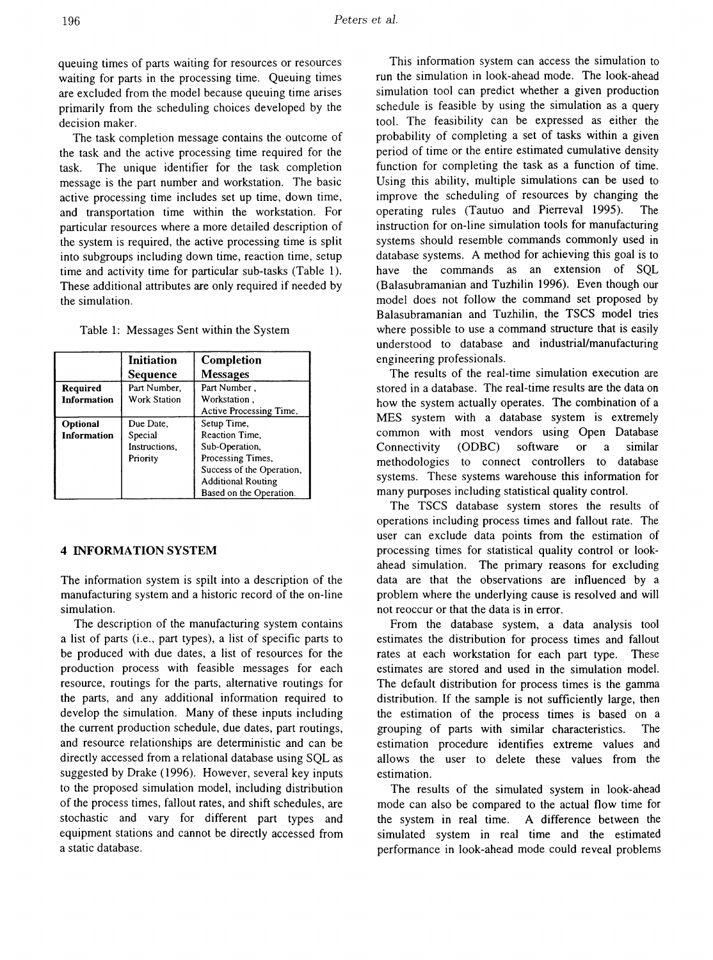queuing times of parts waiting for resources or resources waiting for parts in the processing time. Queuing times are excluded from the model because queuing time arises primarily from the scheduling choices developed by the decision maker.

The task completion message contains the outcome of the task and the active processing time required for the task. The unique identifier for the task completion message is the part number and workstation. The basic active processing time includes set up time, down time, and transportation time within the workstation. For particular resources where a more detailed description of the system is required, the active processing time is split into subgroups including down time, reaction time, setup time and activity time for particular sub-tasks (Table 1). These additional attributes are only required if needed by the simulation.

Table 1: Messages Sent within the System

|                    | Initiation          | Completion                |
|--------------------|---------------------|---------------------------|
|                    | Sequence            | <b>Messages</b>           |
| Required           | Part Number.        | Part Number.              |
| <b>Information</b> | <b>Work Station</b> | Workstation.              |
|                    |                     | Active Processing Time,   |
| Optional           | Due Date,           | Setup Time,               |
| <b>Information</b> | Special             | Reaction Time.            |
|                    | Instructions,       | Sub-Operation,            |
|                    | Priority            | Processing Times,         |
|                    |                     | Success of the Operation, |
|                    |                     | <b>Additional Routing</b> |
|                    |                     | Based on the Operation.   |

#### 4 INFORMATION SYSTEM

The information system is spilt into a description of the manufacturing system and a historic record of the on-line simulation.

The description of the manufacturing system contains a list of parts (i.e., part types), a list of specific parts to be produced with due dates, a list of resources for the production process with feasible messages for each resource, routings for the parts, alternative routings for the parts, and any additional information required to develop the simulation. Many of these inputs including the current production schedule, due dates, part routings, and resource relationships are deterministic and can be directly accessed from a relational database using SQL as suggested by Drake (1996). However, several key inputs to the proposed simulation model, including distribution of the process times, fallout rates, and shift schedules, are stochastic and vary for different part types and equipment stations and cannot be directly accessed from a static database.

This information system can access the simulation to run the simulation in look-ahead mode. The look-ahead simulation tool can predict whether a given production schedule is feasible by using the simulation as a query tool. The feasibility can be expressed as either the probability of completing a set of tasks within a given period of time or the entire estimated cumulative density function for completing the task as a function of time. Using this ability, multiple simulations can be used to improve the scheduling of resources by changing the operating rules (Tautuo and Pierreval 1995). The instruction for on-line simulation tools for manufacturing systems should resemble commands commonly used in database systems. A method for achieving this goal is to have the commands as an extension of SQL (Balasubramanian and Tuzhilin 1996). Even though our model does not follow the command set proposed by Balasubramanian and Tuzhilin, the TSCS model tries where possible to use a command structure that is easily understood to database and industrial/manufacturing engineering professionals.

The results of the real-time simulation execution are stored in a database. The real-time results are the data on how the system actually operates. The combination of a MES system with a database system is extremely common with most vendors using Open Database Connectivity (ODBC) software or a similar methodologies to connect controllers to database systems. These systems warehouse this information for many purposes including statistical quality control.

The TSCS database system stores the results of operations including process times and fallout rate. The user can exclude data points from the estimation of processing times for statistical quality control or lookahead simulation. The primary reasons for excluding data are that the observations are influenced by a problem where the underlying cause is resolved and will not reoccur or that the data is in error.

From the database system, a data analysis tool estimates the distribution for process times and fallout rates at each workstation for each part type. These estimates are stored and used in the simulation model. The default distribution for process times is the gamma distribution. If the sample is not sufficiently large, then the estimation of the process times is based on a grouping of parts with similar characteristics. The estimation procedure identifies extreme values and allows the user to delete these values from the estimation.

The results of the simulated system in look-ahead mode can also be compared to the actual flow time for the system in real time. A difference between the simulated system in real time and the estimated performance in look-ahead mode could reveal problems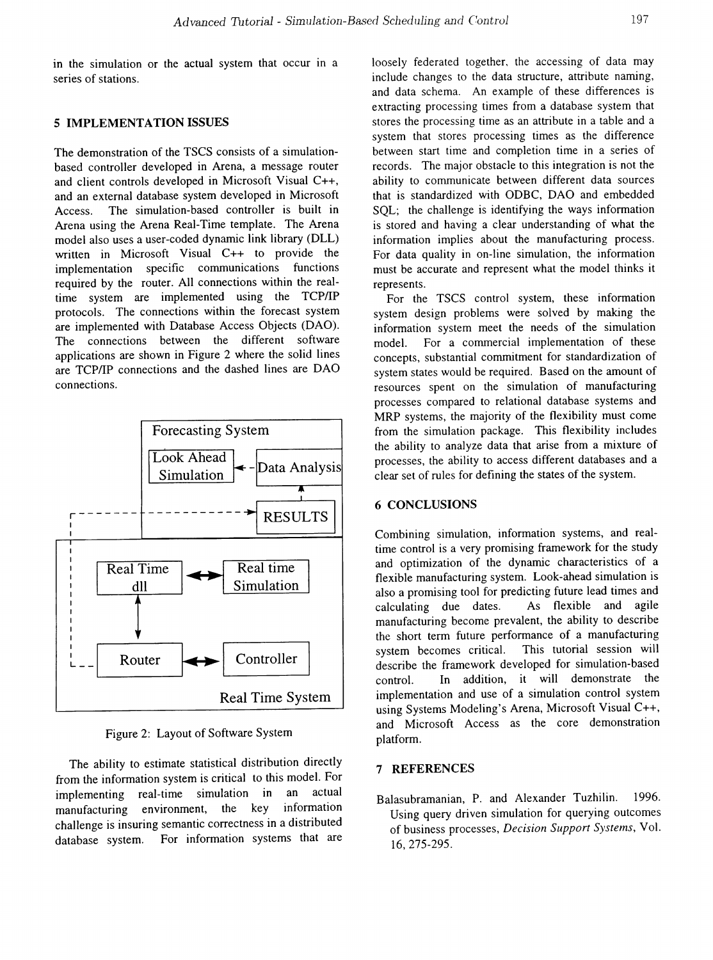in the simulation or the actual system that occur in a series of stations.

### 5 IMPLEMENTATION ISSUES

The demonstration of the TSCS consists of a simulationbased controller developed in Arena, a message router and client controls developed in Microsoft Visual C++, and an external database system developed in Microsoft Access. The simulation-based controller is built in Arena using the Arena Real-Time template. The Arena model also uses a user-coded dynamic link library (DLL) written in Microsoft Visual C++ to provide the implementation specific communications functions required by the router. All connections within the realtime system are implemented using the TCP/IP protocols. The connections within the forecast system are implemented with Database Access Objects (DAO). The connections between the different software applications are shown in Figure 2 where the solid lines are TCP/IP connections and the dashed lines are DAO connections.



Figure 2: Layout of Software System

The ability to estimate statistical distribution directly from the information system is critical to this model. For implementing real-time simulation in an actual manufacturing environment, the key information challenge is insuring semantic correctness in a distributed database system. For information systems that are

loosely federated together, the accessing of data may include changes to the data structure, attribute naming, and data schema. An example of these differences is extracting processing times from a database system that stores the processing time as an attribute in a table and a system that stores processing times as the difference between start time and completion time in a series of records. The major obstacle to this integration is not the ability to communicate between different data sources that is standardized with ODBC, DAO and embedded SQL; the challenge is identifying the ways information is stored and having a clear understanding of what the information implies about the manufacturing process. For data quality in on-line simulation, the information must be accurate and represent what the model thinks it represents.

For the TSCS control system, these information system design problems were solved by making the information system meet the needs of the simulation model. For a commercial implementation of these concepts, substantial commitment for standardization of system states would be required. Based on the amount of resources spent on the simulation of manufacturing processes compared to relational database systems and MRP systems, the majority of the flexibility must come from the simulation package. This flexibility includes the ability to analyze data that arise from a mixture of processes, the ability to access different databases and a clear set of rules for defining the states of the system.

### 6 CONCLUSIONS

Combining simulation, information systems, and realtime control is a very promising framework for the study and optimization of the dynamic characteristics of a flexible manufacturing system. Look-ahead simulation is also a promising tool for predicting future lead times and<br>calculating due dates. As flexible and agile calculating due dates. manufacturing become prevalent, the ability to describe the short term future performance of a manufacturing<br>system becomes critical. This tutorial session will system becomes critical. describe the framework developed for simulation-based control. In addition, it will demonstrate the implementation and use of a simulation control system using Systems Modeling's Arena, Microsoft Visual C++, and Microsoft Access as the core demonstration platform.

### 7 REFERENCES

Balasubramanian, P. and Alexander Tuzhilin. 1996. Using query driven simulation for querying outcomes of business processes, *Decision Support Systems,* Vol. 16,275-295.